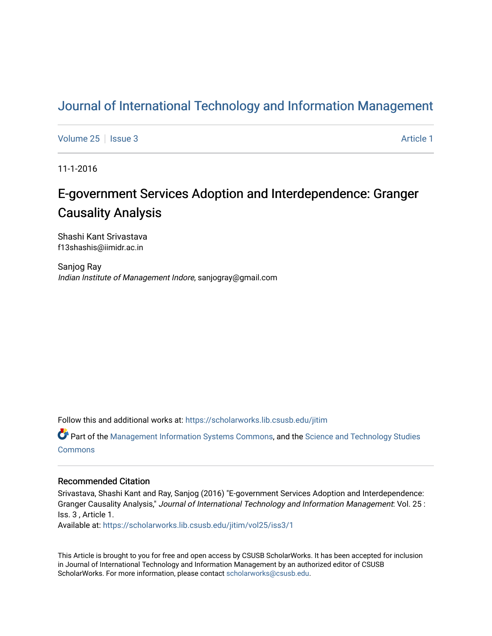## [Journal of International Technology and Information Management](https://scholarworks.lib.csusb.edu/jitim)

[Volume 25](https://scholarworks.lib.csusb.edu/jitim/vol25) | [Issue 3](https://scholarworks.lib.csusb.edu/jitim/vol25/iss3) Article 1

11-1-2016

# E-government Services Adoption and Interdependence: Granger Causality Analysis

Shashi Kant Srivastava f13shashis@iimidr.ac.in

Sanjog Ray Indian Institute of Management Indore, sanjogray@gmail.com

Follow this and additional works at: [https://scholarworks.lib.csusb.edu/jitim](https://scholarworks.lib.csusb.edu/jitim?utm_source=scholarworks.lib.csusb.edu%2Fjitim%2Fvol25%2Fiss3%2F1&utm_medium=PDF&utm_campaign=PDFCoverPages) 

Part of the [Management Information Systems Commons,](http://network.bepress.com/hgg/discipline/636?utm_source=scholarworks.lib.csusb.edu%2Fjitim%2Fvol25%2Fiss3%2F1&utm_medium=PDF&utm_campaign=PDFCoverPages) and the [Science and Technology Studies](http://network.bepress.com/hgg/discipline/435?utm_source=scholarworks.lib.csusb.edu%2Fjitim%2Fvol25%2Fiss3%2F1&utm_medium=PDF&utm_campaign=PDFCoverPages) [Commons](http://network.bepress.com/hgg/discipline/435?utm_source=scholarworks.lib.csusb.edu%2Fjitim%2Fvol25%2Fiss3%2F1&utm_medium=PDF&utm_campaign=PDFCoverPages)

#### Recommended Citation

Srivastava, Shashi Kant and Ray, Sanjog (2016) "E-government Services Adoption and Interdependence: Granger Causality Analysis," Journal of International Technology and Information Management: Vol. 25 : Iss. 3 , Article 1.

Available at: [https://scholarworks.lib.csusb.edu/jitim/vol25/iss3/1](https://scholarworks.lib.csusb.edu/jitim/vol25/iss3/1?utm_source=scholarworks.lib.csusb.edu%2Fjitim%2Fvol25%2Fiss3%2F1&utm_medium=PDF&utm_campaign=PDFCoverPages) 

This Article is brought to you for free and open access by CSUSB ScholarWorks. It has been accepted for inclusion in Journal of International Technology and Information Management by an authorized editor of CSUSB ScholarWorks. For more information, please contact [scholarworks@csusb.edu.](mailto:scholarworks@csusb.edu)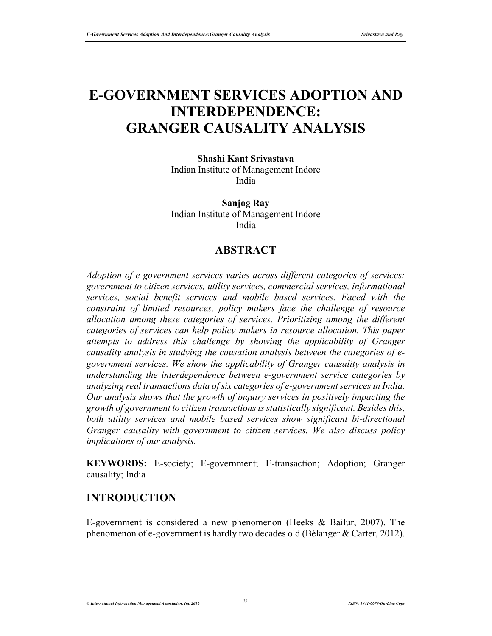# **E-GOVERNMENT SERVICES ADOPTION AND INTERDEPENDENCE: GRANGER CAUSALITY ANALYSIS**

**Shashi Kant Srivastava** Indian Institute of Management Indore India

**Sanjog Ray** Indian Institute of Management Indore India

#### **ABSTRACT**

*Adoption of e-government services varies across different categories of services: government to citizen services, utility services, commercial services, informational services, social benefit services and mobile based services. Faced with the constraint of limited resources, policy makers face the challenge of resource allocation among these categories of services. Prioritizing among the different categories of services can help policy makers in resource allocation. This paper attempts to address this challenge by showing the applicability of Granger causality analysis in studying the causation analysis between the categories of egovernment services. We show the applicability of Granger causality analysis in understanding the interdependence between e-government service categories by analyzing real transactions data of six categories of e-government services in India. Our analysis shows that the growth of inquiry services in positively impacting the growth of government to citizen transactions is statistically significant. Besides this, both utility services and mobile based services show significant bi-directional Granger causality with government to citizen services. We also discuss policy implications of our analysis.* 

**KEYWORDS:** E-society; E-government; E-transaction; Adoption; Granger causality; India

#### **INTRODUCTION**

E-government is considered a new phenomenon (Heeks & Bailur, 2007). The phenomenon of e-government is hardly two decades old (Bélanger & Carter, 2012).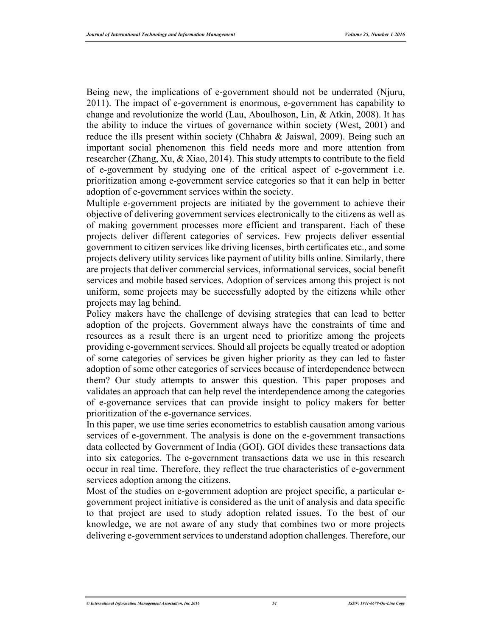Being new, the implications of e-government should not be underrated (Njuru, 2011). The impact of e-government is enormous, e-government has capability to change and revolutionize the world (Lau, Aboulhoson, Lin, & Atkin, 2008). It has the ability to induce the virtues of governance within society (West, 2001) and reduce the ills present within society (Chhabra & Jaiswal, 2009). Being such an important social phenomenon this field needs more and more attention from researcher (Zhang, Xu, & Xiao, 2014). This study attempts to contribute to the field of e-government by studying one of the critical aspect of e-government i.e. prioritization among e-government service categories so that it can help in better adoption of e-government services within the society.

Multiple e-government projects are initiated by the government to achieve their objective of delivering government services electronically to the citizens as well as of making government processes more efficient and transparent. Each of these projects deliver different categories of services. Few projects deliver essential government to citizen services like driving licenses, birth certificates etc., and some projects delivery utility services like payment of utility bills online. Similarly, there are projects that deliver commercial services, informational services, social benefit services and mobile based services. Adoption of services among this project is not uniform, some projects may be successfully adopted by the citizens while other projects may lag behind.

Policy makers have the challenge of devising strategies that can lead to better adoption of the projects. Government always have the constraints of time and resources as a result there is an urgent need to prioritize among the projects providing e-government services. Should all projects be equally treated or adoption of some categories of services be given higher priority as they can led to faster adoption of some other categories of services because of interdependence between them? Our study attempts to answer this question. This paper proposes and validates an approach that can help revel the interdependence among the categories of e-governance services that can provide insight to policy makers for better prioritization of the e-governance services.

In this paper, we use time series econometrics to establish causation among various services of e-government. The analysis is done on the e-government transactions data collected by Government of India (GOI). GOI divides these transactions data into six categories. The e-government transactions data we use in this research occur in real time. Therefore, they reflect the true characteristics of e-government services adoption among the citizens.

Most of the studies on e-government adoption are project specific, a particular egovernment project initiative is considered as the unit of analysis and data specific to that project are used to study adoption related issues. To the best of our knowledge, we are not aware of any study that combines two or more projects delivering e-government services to understand adoption challenges. Therefore, our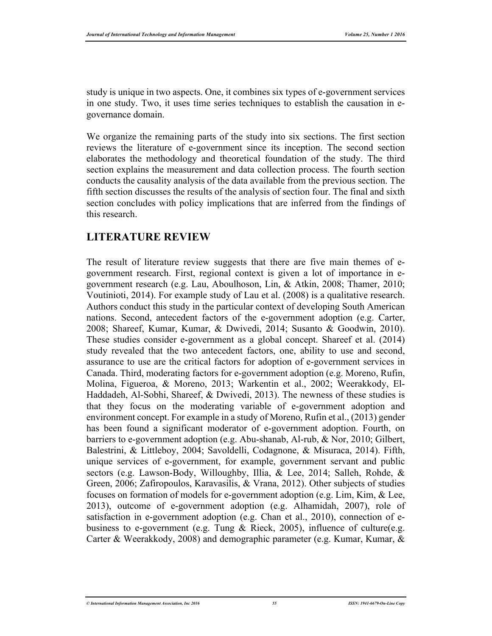study is unique in two aspects. One, it combines six types of e-government services in one study. Two, it uses time series techniques to establish the causation in egovernance domain.

We organize the remaining parts of the study into six sections. The first section reviews the literature of e-government since its inception. The second section elaborates the methodology and theoretical foundation of the study. The third section explains the measurement and data collection process. The fourth section conducts the causality analysis of the data available from the previous section. The fifth section discusses the results of the analysis of section four. The final and sixth section concludes with policy implications that are inferred from the findings of this research.

#### **LITERATURE REVIEW**

The result of literature review suggests that there are five main themes of egovernment research. First, regional context is given a lot of importance in egovernment research (e.g. Lau, Aboulhoson, Lin, & Atkin, 2008; Thamer, 2010; Voutinioti, 2014). For example study of Lau et al. (2008) is a qualitative research. Authors conduct this study in the particular context of developing South American nations. Second, antecedent factors of the e-government adoption (e.g. Carter, 2008; Shareef, Kumar, Kumar, & Dwivedi, 2014; Susanto & Goodwin, 2010). These studies consider e-government as a global concept. Shareef et al. (2014) study revealed that the two antecedent factors, one, ability to use and second, assurance to use are the critical factors for adoption of e-government services in Canada. Third, moderating factors for e-government adoption (e.g. Moreno, Rufin, Molina, Figueroa, & Moreno, 2013; Warkentin et al., 2002; Weerakkody, El-Haddadeh, Al-Sobhi, Shareef, & Dwivedi, 2013). The newness of these studies is that they focus on the moderating variable of e-government adoption and environment concept. For example in a study of Moreno, Rufin et al., (2013) gender has been found a significant moderator of e-government adoption. Fourth, on barriers to e-government adoption (e.g. Abu-shanab, Al-rub, & Nor, 2010; Gilbert, Balestrini, & Littleboy, 2004; Savoldelli, Codagnone, & Misuraca, 2014). Fifth, unique services of e-government, for example, government servant and public sectors (e.g. Lawson-Body, Willoughby, Illia, & Lee, 2014; Salleh, Rohde, & Green, 2006; Zafiropoulos, Karavasilis, & Vrana, 2012). Other subjects of studies focuses on formation of models for e-government adoption (e.g. Lim, Kim, & Lee, 2013), outcome of e-government adoption (e.g. Alhamidah, 2007), role of satisfaction in e-government adoption (e.g. Chan et al., 2010), connection of ebusiness to e-government (e.g. Tung & Rieck, 2005), influence of culture(e.g. Carter & Weerakkody, 2008) and demographic parameter (e.g. Kumar, Kumar, &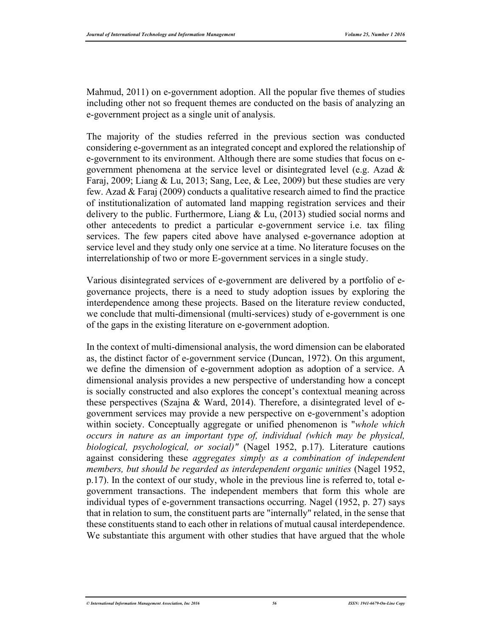Mahmud, 2011) on e-government adoption. All the popular five themes of studies including other not so frequent themes are conducted on the basis of analyzing an e-government project as a single unit of analysis.

The majority of the studies referred in the previous section was conducted considering e-government as an integrated concept and explored the relationship of e-government to its environment. Although there are some studies that focus on egovernment phenomena at the service level or disintegrated level (e.g. Azad & Faraj, 2009; Liang & Lu, 2013; Sang, Lee, & Lee, 2009) but these studies are very few. Azad & Faraj (2009) conducts a qualitative research aimed to find the practice of institutionalization of automated land mapping registration services and their delivery to the public. Furthermore, Liang  $& Lu, (2013)$  studied social norms and other antecedents to predict a particular e-government service i.e. tax filing services. The few papers cited above have analysed e-governance adoption at service level and they study only one service at a time. No literature focuses on the interrelationship of two or more E-government services in a single study.

Various disintegrated services of e-government are delivered by a portfolio of egovernance projects, there is a need to study adoption issues by exploring the interdependence among these projects. Based on the literature review conducted, we conclude that multi-dimensional (multi-services) study of e-government is one of the gaps in the existing literature on e-government adoption.

In the context of multi-dimensional analysis, the word dimension can be elaborated as, the distinct factor of e-government service (Duncan, 1972). On this argument, we define the dimension of e-government adoption as adoption of a service. A dimensional analysis provides a new perspective of understanding how a concept is socially constructed and also explores the concept's contextual meaning across these perspectives (Szajna & Ward, 2014). Therefore, a disintegrated level of egovernment services may provide a new perspective on e-government's adoption within society. Conceptually aggregate or unified phenomenon is "*whole which occurs in nature as an important type of, individual (which may be physical, biological, psychological, or social)"* (Nagel 1952, p.17). Literature cautions against considering these *aggregates simply as a combination of independent members, but should be regarded as interdependent organic unities* (Nagel 1952, p.17). In the context of our study, whole in the previous line is referred to, total egovernment transactions. The independent members that form this whole are individual types of e-government transactions occurring. Nagel (1952, p. 27) says that in relation to sum, the constituent parts are "internally" related, in the sense that these constituents stand to each other in relations of mutual causal interdependence. We substantiate this argument with other studies that have argued that the whole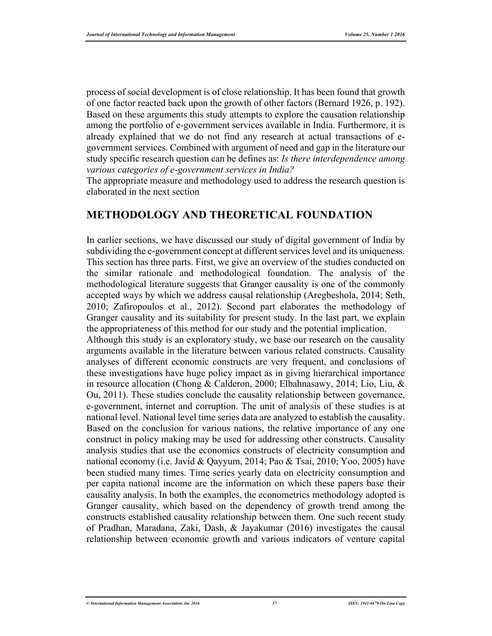process of social development is of close relationship. It has been found that growth of one factor reacted back upon the growth of other factors (Bernard 1926, p. 192). Based on these arguments this study attempts to explore the causation relationship among the portfolio of e-government services available in India. Furthermore, it is already explained that we do not find any research at actual transactions of egovernment services. Combined with argument of need and gap in the literature our study specific research question can be defines as: *Is there interdependence among various categories of e-government services in India?* 

The appropriate measure and methodology used to address the research question is elaborated in the next section

#### **METHODOLOGY AND THEORETICAL FOUNDATION**

In earlier sections, we have discussed our study of digital government of India by subdividing the e-government concept at different services level and its uniqueness. This section has three parts. First, we give an overview of the studies conducted on the similar rationale and methodological foundation. The analysis of the methodological literature suggests that Granger causality is one of the commonly accepted ways by which we address causal relationship (Aregbeshola, 2014; Seth, 2010; Zafiropoulos et al., 2012). Second part elaborates the methodology of Granger causality and its suitability for present study. In the last part, we explain the appropriateness of this method for our study and the potential implication. Although this study is an exploratory study, we base our research on the causality arguments available in the literature between various related constructs. Causality analyses of different economic constructs are very frequent, and conclusions of these investigations have huge policy impact as in giving hierarchical importance in resource allocation (Chong & Calderon, 2000; Elbahnasawy, 2014; Lio, Liu, & Ou, 2011). These studies conclude the causality relationship between governance, e-government, internet and corruption. The unit of analysis of these studies is at national level. National level time series data are analyzed to establish the causality. Based on the conclusion for various nations, the relative importance of any one construct in policy making may be used for addressing other constructs. Causality analysis studies that use the economics constructs of electricity consumption and national economy (i.e. Javid & Qayyum, 2014; Pao & Tsai, 2010; Yoo, 2005) have been studied many times. Time series yearly data on electricity consumption and per capita national income are the information on which these papers base their causality analysis. In both the examples, the econometrics methodology adopted is Granger causality, which based on the dependency of growth trend among the constructs established causality relationship between them. One such recent study of Pradhan, Maradana, Zaki, Dash, & Jayakumar (2016) investigates the causal relationship between economic growth and various indicators of venture capital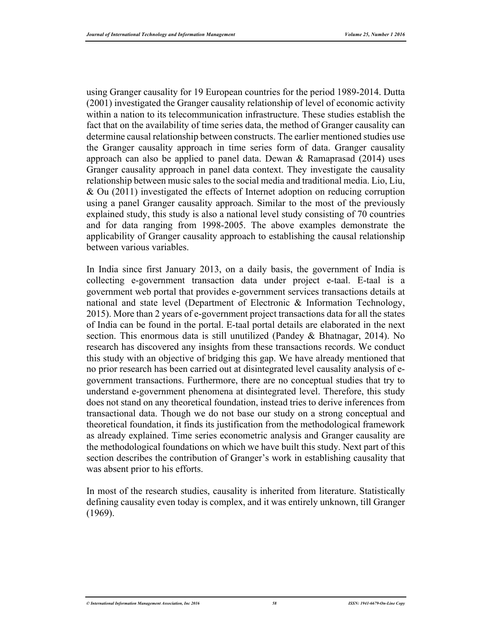using Granger causality for 19 European countries for the period 1989-2014. Dutta (2001) investigated the Granger causality relationship of level of economic activity within a nation to its telecommunication infrastructure. These studies establish the fact that on the availability of time series data, the method of Granger causality can determine causal relationship between constructs. The earlier mentioned studies use the Granger causality approach in time series form of data. Granger causality approach can also be applied to panel data. Dewan  $\&$  Ramaprasad (2014) uses Granger causality approach in panel data context. They investigate the causality relationship between music sales to the social media and traditional media. Lio, Liu, & Ou (2011) investigated the effects of Internet adoption on reducing corruption using a panel Granger causality approach. Similar to the most of the previously explained study, this study is also a national level study consisting of 70 countries and for data ranging from 1998-2005. The above examples demonstrate the applicability of Granger causality approach to establishing the causal relationship between various variables.

In India since first January 2013, on a daily basis, the government of India is collecting e-government transaction data under project e-taal. E-taal is a government web portal that provides e-government services transactions details at national and state level (Department of Electronic & Information Technology, 2015). More than 2 years of e-government project transactions data for all the states of India can be found in the portal. E-taal portal details are elaborated in the next section. This enormous data is still unutilized (Pandey & Bhatnagar, 2014). No research has discovered any insights from these transactions records. We conduct this study with an objective of bridging this gap. We have already mentioned that no prior research has been carried out at disintegrated level causality analysis of egovernment transactions. Furthermore, there are no conceptual studies that try to understand e-government phenomena at disintegrated level. Therefore, this study does not stand on any theoretical foundation, instead tries to derive inferences from transactional data. Though we do not base our study on a strong conceptual and theoretical foundation, it finds its justification from the methodological framework as already explained. Time series econometric analysis and Granger causality are the methodological foundations on which we have built this study. Next part of this section describes the contribution of Granger's work in establishing causality that was absent prior to his efforts.

In most of the research studies, causality is inherited from literature. Statistically defining causality even today is complex, and it was entirely unknown, till Granger (1969).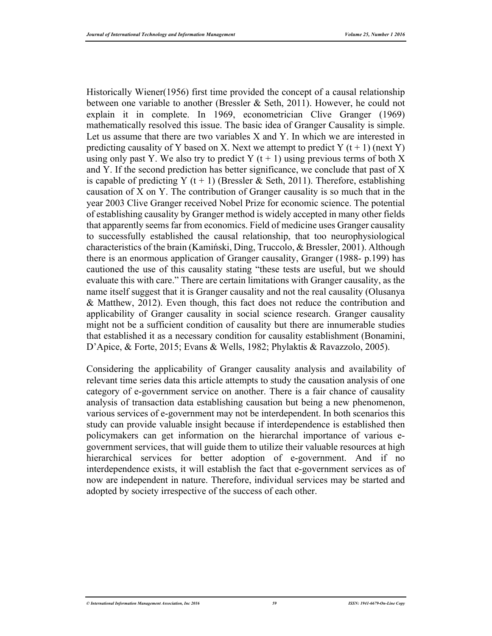Historically Wiener(1956) first time provided the concept of a causal relationship between one variable to another (Bressler & Seth, 2011). However, he could not explain it in complete. In 1969, econometrician Clive Granger (1969) mathematically resolved this issue. The basic idea of Granger Causality is simple. Let us assume that there are two variables X and Y. In which we are interested in predicting causality of Y based on X. Next we attempt to predict Y  $(t + 1)$  (next Y) using only past Y. We also try to predict Y  $(t + 1)$  using previous terms of both X and Y. If the second prediction has better significance, we conclude that past of X is capable of predicting Y (t + 1) (Bressler & Seth, 2011). Therefore, establishing causation of X on Y. The contribution of Granger causality is so much that in the year 2003 Clive Granger received Nobel Prize for economic science. The potential of establishing causality by Granger method is widely accepted in many other fields that apparently seems far from economics. Field of medicine uses Granger causality to successfully established the causal relationship, that too neurophysiological characteristics of the brain (Kamiński, Ding, Truccolo, & Bressler, 2001). Although there is an enormous application of Granger causality, Granger (1988- p.199) has cautioned the use of this causality stating "these tests are useful, but we should evaluate this with care." There are certain limitations with Granger causality, as the name itself suggest that it is Granger causality and not the real causality (Olusanya & Matthew, 2012). Even though, this fact does not reduce the contribution and applicability of Granger causality in social science research. Granger causality might not be a sufficient condition of causality but there are innumerable studies that established it as a necessary condition for causality establishment (Bonamini, D'Apice, & Forte, 2015; Evans & Wells, 1982; Phylaktis & Ravazzolo, 2005).

Considering the applicability of Granger causality analysis and availability of relevant time series data this article attempts to study the causation analysis of one category of e-government service on another. There is a fair chance of causality analysis of transaction data establishing causation but being a new phenomenon, various services of e-government may not be interdependent. In both scenarios this study can provide valuable insight because if interdependence is established then policymakers can get information on the hierarchal importance of various egovernment services, that will guide them to utilize their valuable resources at high hierarchical services for better adoption of e-government. And if no interdependence exists, it will establish the fact that e-government services as of now are independent in nature. Therefore, individual services may be started and adopted by society irrespective of the success of each other.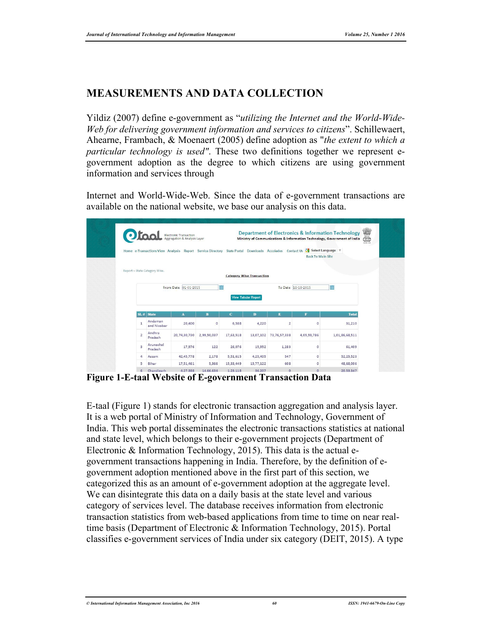### **MEASUREMENTS AND DATA COLLECTION**

Yildiz (2007) define e-government as "*utilizing the Internet and the World-Wide-Web for delivering government information and services to citizens*". Schillewaert, Ahearne, Frambach, & Moenaert (2005) define adoption as "*the extent to which a particular technology is used"*. These two definitions together we represent egovernment adoption as the degree to which citizens are using government information and services through

Internet and World-Wide-Web. Since the data of e-government transactions are available on the national website, we base our analysis on this data.

|                | Otaal                         | Electronic Transaction<br>Aggregation & Analysis Layer |             |           |                                  | Home e-Transactions View Analysis Report Service Directory State Portal Downloads Accolades Contact Us | Select Language<br><b>Back To Main Site</b> | <b>Department of Electronics &amp; Information Technology</b><br>Ministry of Communications & Information Technology, Government of India | \$ |
|----------------|-------------------------------|--------------------------------------------------------|-------------|-----------|----------------------------------|--------------------------------------------------------------------------------------------------------|---------------------------------------------|-------------------------------------------------------------------------------------------------------------------------------------------|----|
|                | Report > State Category Wise. |                                                        |             |           | <b>Category Wise Transaction</b> |                                                                                                        |                                             |                                                                                                                                           |    |
|                |                               | From Date 01-01-2015                                   | 臝           |           |                                  | To Date 10-10-2015                                                                                     |                                             | m                                                                                                                                         |    |
|                |                               |                                                        |             |           | <b>View Tabular Report</b>       |                                                                                                        |                                             |                                                                                                                                           |    |
|                | $SL#$ State<br>Andaman        | $\mathbf{A}$                                           | B           | C.        | D                                | E                                                                                                      | F                                           | <b>Total</b>                                                                                                                              |    |
| $\mathbf{1}$   | and Nicobar                   | 20,400                                                 | 0           | 6,588     | 4,220                            | $\overline{\mathbf{c}}$                                                                                | $\circ$                                     | 31,210                                                                                                                                    |    |
| $\overline{2}$ | Andhra<br>Pradesh             | 20,74,30,730                                           | 2,99,50,037 | 17,63,518 | 13,07,102                        | 73, 76, 57, 338                                                                                        | 4,05,59,786                                 | 1,01,86,68,511                                                                                                                            |    |
| 3              | Arunachal<br>Pradesh          | 17,976                                                 | 122         | 26,076    | 15,952                           | 1,283                                                                                                  | $\circ$                                     | 61,409                                                                                                                                    |    |
| 4              | Assam                         | 42,45,778                                              | 2,178       | 5,51,615  | 4,25,405                         | 547                                                                                                    | $\circ$                                     | 52,25,523                                                                                                                                 |    |

**Figure 1-E-taal Website of E-government Transaction Data** 

E-taal (Figure 1) stands for electronic transaction aggregation and analysis layer. It is a web portal of Ministry of Information and Technology, Government of India. This web portal disseminates the electronic transactions statistics at national and state level, which belongs to their e-government projects (Department of Electronic & Information Technology, 2015). This data is the actual egovernment transactions happening in India. Therefore, by the definition of egovernment adoption mentioned above in the first part of this section, we categorized this as an amount of e-government adoption at the aggregate level. We can disintegrate this data on a daily basis at the state level and various category of services level. The database receives information from electronic transaction statistics from web-based applications from time to time on near realtime basis (Department of Electronic & Information Technology, 2015). Portal classifies e-government services of India under six category (DEIT, 2015). A type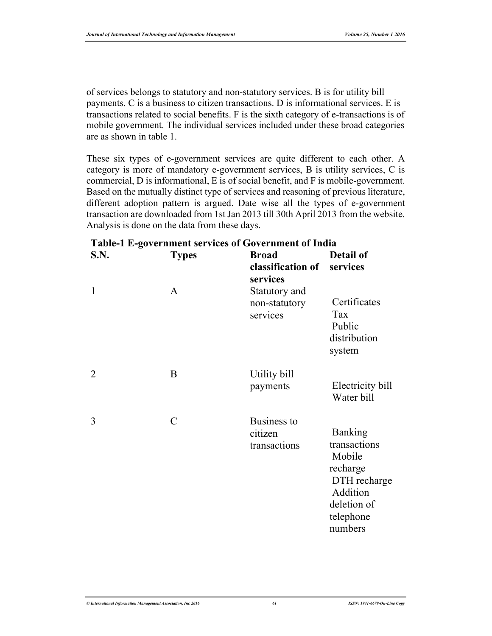of services belongs to statutory and non-statutory services. B is for utility bill payments. C is a business to citizen transactions. D is informational services. E is transactions related to social benefits. F is the sixth category of e-transactions is of mobile government. The individual services included under these broad categories are as shown in table 1.

These six types of e-government services are quite different to each other. A category is more of mandatory e-government services, B is utility services, C is commercial, D is informational, E is of social benefit, and F is mobile-government. Based on the mutually distinct type of services and reasoning of previous literature, different adoption pattern is argued. Date wise all the types of e-government transaction are downloaded from 1st Jan 2013 till 30th April 2013 from the website. Analysis is done on the data from these days.

| S.N.           | <b>Types</b>  | <b>Broad</b><br>classification of<br>services | <b>Detail of</b><br>services                                                                                            |
|----------------|---------------|-----------------------------------------------|-------------------------------------------------------------------------------------------------------------------------|
| 1              | A             | Statutory and<br>non-statutory<br>services    | Certificates<br>Tax<br>Public<br>distribution<br>system                                                                 |
| $\overline{2}$ | $\bf{B}$      | Utility bill<br>payments                      | Electricity bill<br>Water bill                                                                                          |
| 3              | $\mathcal{C}$ | Business to<br>citizen<br>transactions        | <b>Banking</b><br>transactions<br>Mobile<br>recharge<br>DTH recharge<br>Addition<br>deletion of<br>telephone<br>numbers |

#### **Table-1 E-government services of Government of India**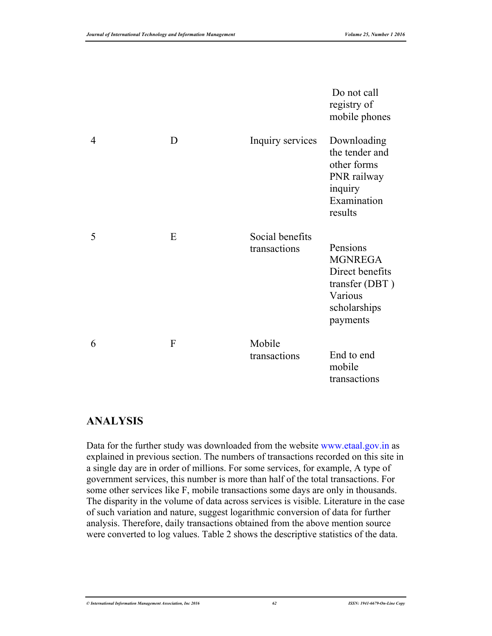|   |   |                                 | Do not call<br>registry of<br>mobile phones                                                            |
|---|---|---------------------------------|--------------------------------------------------------------------------------------------------------|
| 4 | D | Inquiry services                | Downloading<br>the tender and<br>other forms<br>PNR railway<br>inquiry<br>Examination<br>results       |
| 5 | E | Social benefits<br>transactions | Pensions<br><b>MGNREGA</b><br>Direct benefits<br>transfer (DBT)<br>Various<br>scholarships<br>payments |
| 6 | F | Mobile<br>transactions          | End to end<br>mobile<br>transactions                                                                   |

#### **ANALYSIS**

Data for the further study was downloaded from the website www.etaal.gov.in as explained in previous section. The numbers of transactions recorded on this site in a single day are in order of millions. For some services, for example, A type of government services, this number is more than half of the total transactions. For some other services like F, mobile transactions some days are only in thousands. The disparity in the volume of data across services is visible. Literature in the case of such variation and nature, suggest logarithmic conversion of data for further analysis. Therefore, daily transactions obtained from the above mention source were converted to log values. Table 2 shows the descriptive statistics of the data.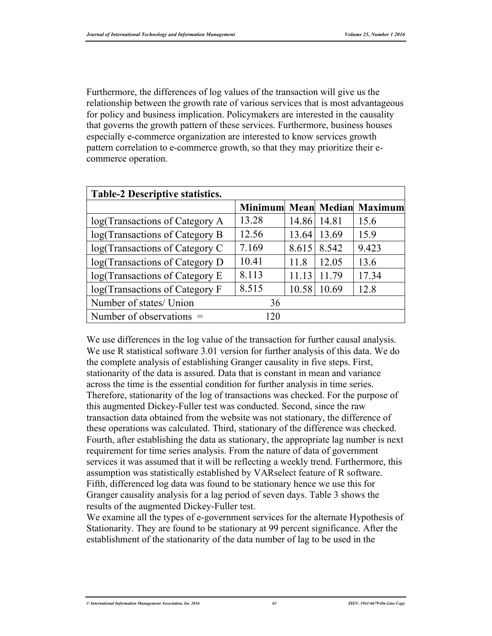Furthermore, the differences of log values of the transaction will give us the relationship between the growth rate of various services that is most advantageous for policy and business implication. Policymakers are interested in the causality that governs the growth pattern of these services. Furthermore, business houses especially e-commerce organization are interested to know services growth pattern correlation to e-commerce growth, so that they may prioritize their ecommerce operation.

| Table-2 Descriptive statistics. |       |             |             |                             |  |  |
|---------------------------------|-------|-------------|-------------|-----------------------------|--|--|
|                                 |       |             |             | Minimum Mean Median Maximum |  |  |
| log(Transactions of Category A  | 13.28 | 14.86 14.81 |             | 15.6                        |  |  |
| log(Transactions of Category B  | 12.56 | 13.64       | 13.69       | 15.9                        |  |  |
| log(Transactions of Category C  | 7.169 |             | 8.615 8.542 | 9.423                       |  |  |
| log(Transactions of Category D  | 10.41 | 11.8        | 12.05       | 13.6                        |  |  |
| log(Transactions of Category E  | 8.113 | 11.13       | 11.79       | 17.34                       |  |  |
| log(Transactions of Category F  | 8.515 | 10.58       | 10.69       | 12.8                        |  |  |
| Number of states/ Union         | 36    |             |             |                             |  |  |
| Number of observations $=$      | 120   |             |             |                             |  |  |

We use differences in the log value of the transaction for further causal analysis. We use R statistical software 3.01 version for further analysis of this data. We do the complete analysis of establishing Granger causality in five steps. First, stationarity of the data is assured. Data that is constant in mean and variance across the time is the essential condition for further analysis in time series. Therefore, stationarity of the log of transactions was checked. For the purpose of this augmented Dickey-Fuller test was conducted. Second, since the raw transaction data obtained from the website was not stationary, the difference of these operations was calculated. Third, stationary of the difference was checked. Fourth, after establishing the data as stationary, the appropriate lag number is next requirement for time series analysis. From the nature of data of government services it was assumed that it will be reflecting a weekly trend. Furthermore, this assumption was statistically established by VARselect feature of R software. Fifth, differenced log data was found to be stationary hence we use this for Granger causality analysis for a lag period of seven days. Table 3 shows the results of the augmented Dickey-Fuller test.

We examine all the types of e-government services for the alternate Hypothesis of Stationarity. They are found to be stationary at 99 percent significance. After the establishment of the stationarity of the data number of lag to be used in the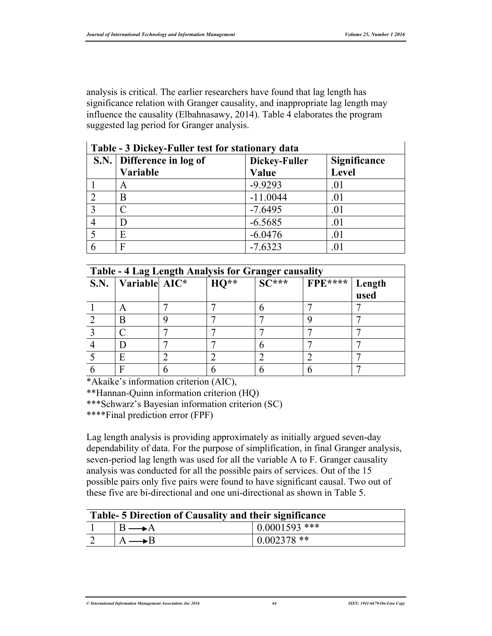analysis is critical. The earlier researchers have found that lag length has significance relation with Granger causality, and inappropriate lag length may influence the causality (Elbahnasawy, 2014). Table 4 elaborates the program suggested lag period for Granger analysis.

| Table - 3 Dickey-Fuller test for stationary data |                           |               |              |  |
|--------------------------------------------------|---------------------------|---------------|--------------|--|
|                                                  | S.N. Difference in log of | Dickey-Fuller | Significance |  |
|                                                  | Variable                  | Value         | <b>Level</b> |  |
|                                                  | A                         | $-9.9293$     | .01          |  |
| $\mathcal{D}$                                    | B                         | $-11.0044$    | .01          |  |
| $\mathbf{R}$                                     |                           | $-7.6495$     | .01          |  |
|                                                  |                           | $-6.5685$     | .01          |  |
|                                                  | E                         | $-6.0476$     | .01          |  |
|                                                  |                           | $-7.6323$     |              |  |

| Table - 4 Lag Length Analysis for Granger causality |                       |  |           |                                    |                         |      |
|-----------------------------------------------------|-----------------------|--|-----------|------------------------------------|-------------------------|------|
|                                                     | S.N. Variable $AIC^*$ |  | $  HO** $ | $\left  \right. \mathrm{SC}^{***}$ | <b>FPE****</b>   Length |      |
|                                                     |                       |  |           |                                    |                         | used |
|                                                     | A                     |  |           |                                    |                         |      |
|                                                     | B                     |  |           |                                    |                         |      |
|                                                     |                       |  |           |                                    |                         |      |
|                                                     |                       |  |           |                                    |                         |      |
|                                                     | F                     |  |           |                                    |                         |      |
|                                                     |                       |  |           |                                    |                         |      |

\*Akaike's information criterion (AIC),

\*\*Hannan-Quinn information criterion (HQ)

\*\*\*Schwarz's Bayesian information criterion (SC)

\*\*\*\*Final prediction error (FPF)

Lag length analysis is providing approximately as initially argued seven-day dependability of data. For the purpose of simplification, in final Granger analysis, seven-period lag length was used for all the variable A to F. Granger causality analysis was conducted for all the possible pairs of services. Out of the 15 possible pairs only five pairs were found to have significant causal. Two out of these five are bi-directional and one uni-directional as shown in Table 5.

| Table-5 Direction of Causality and their significance |  |                 |  |  |
|-------------------------------------------------------|--|-----------------|--|--|
|                                                       |  | $0.0001593$ *** |  |  |
|                                                       |  | $0.002378$ **   |  |  |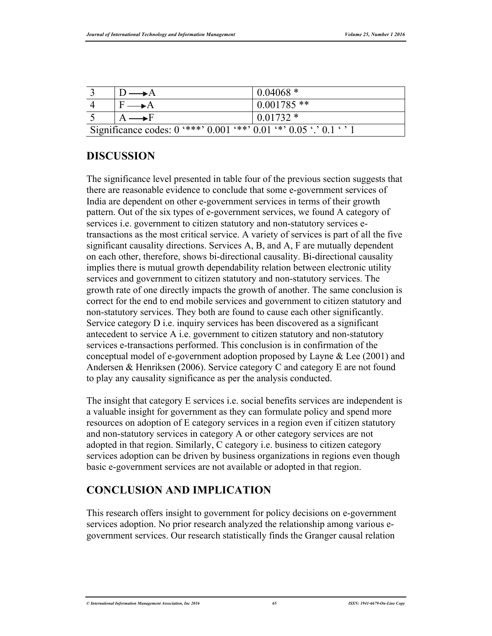|                                                                             | $0.04068*$   |
|-----------------------------------------------------------------------------|--------------|
| $F \longrightarrow A$                                                       | $0.001785**$ |
| $A \longrightarrow F$                                                       | $0.01732*$   |
| Significance codes: $0$ '***' $0.001$ '**' $0.01$ '*' $0.05$ '.' $0.1$ ' '1 |              |

## **DISCUSSION**

The significance level presented in table four of the previous section suggests that there are reasonable evidence to conclude that some e-government services of India are dependent on other e-government services in terms of their growth pattern. Out of the six types of e-government services, we found A category of services i.e. government to citizen statutory and non-statutory services etransactions as the most critical service. A variety of services is part of all the five significant causality directions. Services A, B, and A, F are mutually dependent on each other, therefore, shows bi-directional causality. Bi-directional causality implies there is mutual growth dependability relation between electronic utility services and government to citizen statutory and non-statutory services. The growth rate of one directly impacts the growth of another. The same conclusion is correct for the end to end mobile services and government to citizen statutory and non-statutory services. They both are found to cause each other significantly. Service category D i.e. inquiry services has been discovered as a significant antecedent to service A i.e. government to citizen statutory and non-statutory services e-transactions performed. This conclusion is in confirmation of the conceptual model of e-government adoption proposed by Layne & Lee (2001) and Andersen & Henriksen (2006). Service category C and category E are not found to play any causality significance as per the analysis conducted.

The insight that category E services i.e. social benefits services are independent is a valuable insight for government as they can formulate policy and spend more resources on adoption of E category services in a region even if citizen statutory and non-statutory services in category A or other category services are not adopted in that region. Similarly, C category i.e. business to citizen category services adoption can be driven by business organizations in regions even though basic e-government services are not available or adopted in that region.

### **CONCLUSION AND IMPLICATION**

This research offers insight to government for policy decisions on e-government services adoption. No prior research analyzed the relationship among various egovernment services. Our research statistically finds the Granger causal relation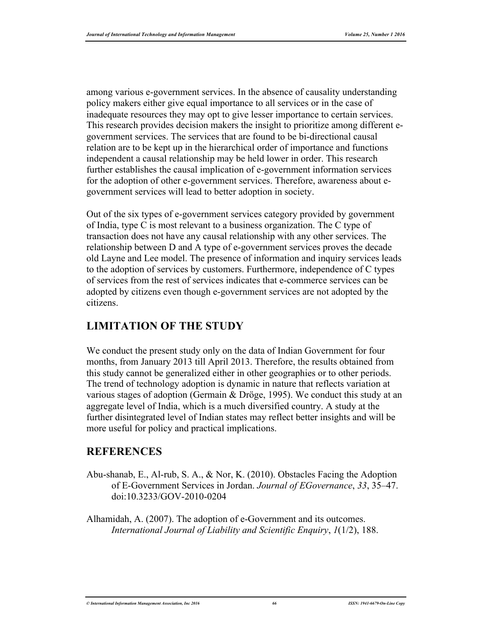among various e-government services. In the absence of causality understanding policy makers either give equal importance to all services or in the case of inadequate resources they may opt to give lesser importance to certain services. This research provides decision makers the insight to prioritize among different egovernment services. The services that are found to be bi-directional causal relation are to be kept up in the hierarchical order of importance and functions independent a causal relationship may be held lower in order. This research further establishes the causal implication of e-government information services for the adoption of other e-government services. Therefore, awareness about egovernment services will lead to better adoption in society.

Out of the six types of e-government services category provided by government of India, type C is most relevant to a business organization. The C type of transaction does not have any causal relationship with any other services. The relationship between D and A type of e-government services proves the decade old Layne and Lee model. The presence of information and inquiry services leads to the adoption of services by customers. Furthermore, independence of C types of services from the rest of services indicates that e-commerce services can be adopted by citizens even though e-government services are not adopted by the citizens.

#### **LIMITATION OF THE STUDY**

We conduct the present study only on the data of Indian Government for four months, from January 2013 till April 2013. Therefore, the results obtained from this study cannot be generalized either in other geographies or to other periods. The trend of technology adoption is dynamic in nature that reflects variation at various stages of adoption (Germain & Dröge, 1995). We conduct this study at an aggregate level of India, which is a much diversified country. A study at the further disintegrated level of Indian states may reflect better insights and will be more useful for policy and practical implications.

#### **REFERENCES**

Abu-shanab, E., Al-rub, S. A., & Nor, K. (2010). Obstacles Facing the Adoption of E-Government Services in Jordan. *Journal of EGovernance*, *33*, 35–47. doi:10.3233/GOV-2010-0204

Alhamidah, A. (2007). The adoption of e-Government and its outcomes. *International Journal of Liability and Scientific Enquiry*, *1*(1/2), 188.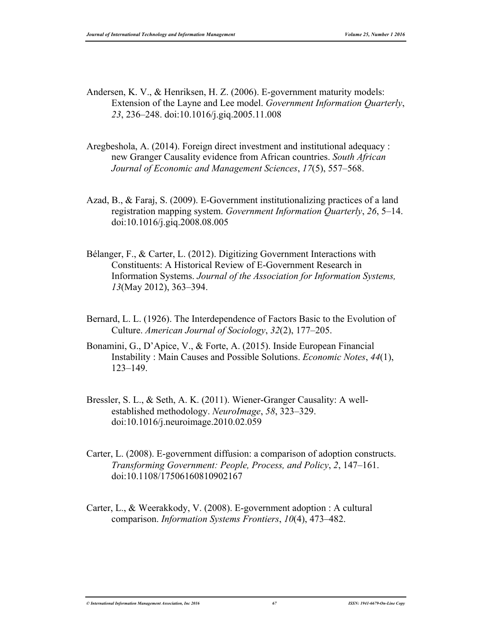- Andersen, K. V., & Henriksen, H. Z. (2006). E-government maturity models: Extension of the Layne and Lee model. *Government Information Quarterly*, *23*, 236–248. doi:10.1016/j.giq.2005.11.008
- Aregbeshola, A. (2014). Foreign direct investment and institutional adequacy : new Granger Causality evidence from African countries. *South African Journal of Economic and Management Sciences*, *17*(5), 557–568.
- Azad, B., & Faraj, S. (2009). E-Government institutionalizing practices of a land registration mapping system. *Government Information Quarterly*, *26*, 5–14. doi:10.1016/j.giq.2008.08.005
- Bélanger, F., & Carter, L. (2012). Digitizing Government Interactions with Constituents: A Historical Review of E-Government Research in Information Systems. *Journal of the Association for Information Systems, 13*(May 2012), 363–394.
- Bernard, L. L. (1926). The Interdependence of Factors Basic to the Evolution of Culture. *American Journal of Sociology*, *32*(2), 177–205.
- Bonamini, G., D'Apice, V., & Forte, A. (2015). Inside European Financial Instability : Main Causes and Possible Solutions. *Economic Notes*, *44*(1), 123–149.
- Bressler, S. L., & Seth, A. K. (2011). Wiener-Granger Causality: A wellestablished methodology. *NeuroImage*, *58*, 323–329. doi:10.1016/j.neuroimage.2010.02.059
- Carter, L. (2008). E-government diffusion: a comparison of adoption constructs. *Transforming Government: People, Process, and Policy*, *2*, 147–161. doi:10.1108/17506160810902167
- Carter, L., & Weerakkody, V. (2008). E-government adoption : A cultural comparison. *Information Systems Frontiers*, *10*(4), 473–482.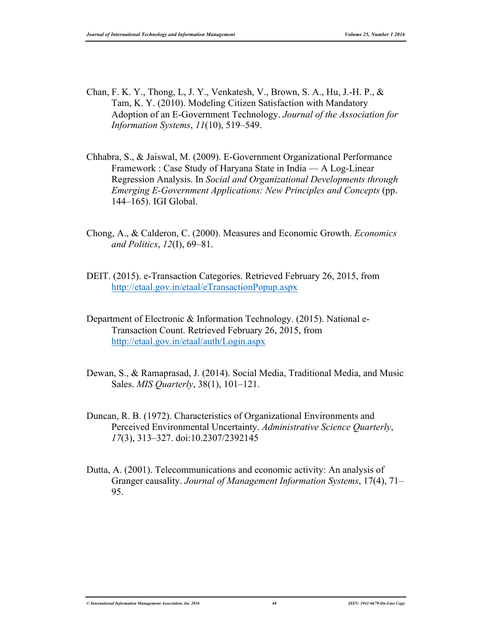- Chan, F. K. Y., Thong, L, J. Y., Venkatesh, V., Brown, S. A., Hu, J.-H. P., & Tam, K. Y. (2010). Modeling Citizen Satisfaction with Mandatory Adoption of an E-Government Technology. *Journal of the Association for Information Systems*, *11*(10), 519–549.
- Chhabra, S., & Jaiswal, M. (2009). E-Government Organizational Performance Framework : Case Study of Haryana State in India — A Log-Linear Regression Analysis. In *Social and Organizational Developments through Emerging E-Government Applications: New Principles and Concepts* (pp. 144–165). IGI Global.
- Chong, A., & Calderon, C. (2000). Measures and Economic Growth. *Economics and Politics*, *12*(I), 69–81.
- DEIT. (2015). e-Transaction Categories. Retrieved February 26, 2015, from http://etaal.gov.in/etaal/eTransactionPopup.aspx
- Department of Electronic & Information Technology. (2015). National e-Transaction Count. Retrieved February 26, 2015, from http://etaal.gov.in/etaal/auth/Login.aspx
- Dewan, S., & Ramaprasad, J. (2014). Social Media, Traditional Media, and Music Sales. *MIS Quarterly*, 38(1), 101–121.
- Duncan, R. B. (1972). Characteristics of Organizational Environments and Perceived Environmental Uncertainty. *Administrative Science Quarterly*, *17*(3), 313–327. doi:10.2307/2392145
- Dutta, A. (2001). Telecommunications and economic activity: An analysis of Granger causality. *Journal of Management Information Systems*, 17(4), 71– 95.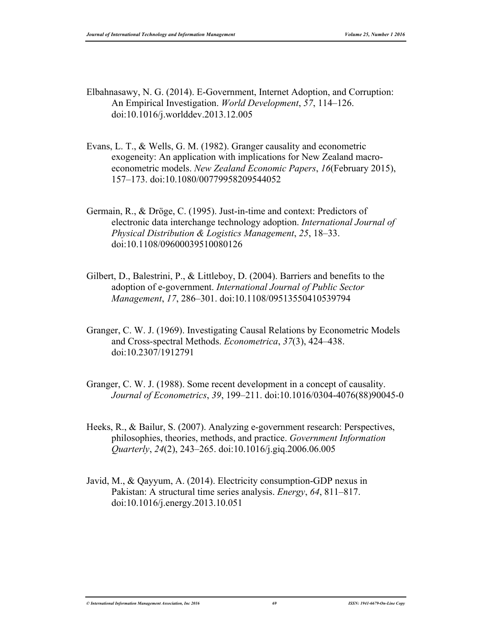- Elbahnasawy, N. G. (2014). E-Government, Internet Adoption, and Corruption: An Empirical Investigation. *World Development*, *57*, 114–126. doi:10.1016/j.worlddev.2013.12.005
- Evans, L. T., & Wells, G. M. (1982). Granger causality and econometric exogeneity: An application with implications for New Zealand macroeconometric models. *New Zealand Economic Papers*, *16*(February 2015), 157–173. doi:10.1080/00779958209544052
- Germain, R., & Dröge, C. (1995). Just-in-time and context: Predictors of electronic data interchange technology adoption. *International Journal of Physical Distribution & Logistics Management*, *25*, 18–33. doi:10.1108/09600039510080126
- Gilbert, D., Balestrini, P., & Littleboy, D. (2004). Barriers and benefits to the adoption of e-government. *International Journal of Public Sector Management*, *17*, 286–301. doi:10.1108/09513550410539794
- Granger, C. W. J. (1969). Investigating Causal Relations by Econometric Models and Cross-spectral Methods. *Econometrica*, *37*(3), 424–438. doi:10.2307/1912791
- Granger, C. W. J. (1988). Some recent development in a concept of causality. *Journal of Econometrics*, *39*, 199–211. doi:10.1016/0304-4076(88)90045-0
- Heeks, R., & Bailur, S. (2007). Analyzing e-government research: Perspectives, philosophies, theories, methods, and practice. *Government Information Quarterly*, *24*(2), 243–265. doi:10.1016/j.giq.2006.06.005
- Javid, M., & Qayyum, A. (2014). Electricity consumption-GDP nexus in Pakistan: A structural time series analysis. *Energy*, *64*, 811–817. doi:10.1016/j.energy.2013.10.051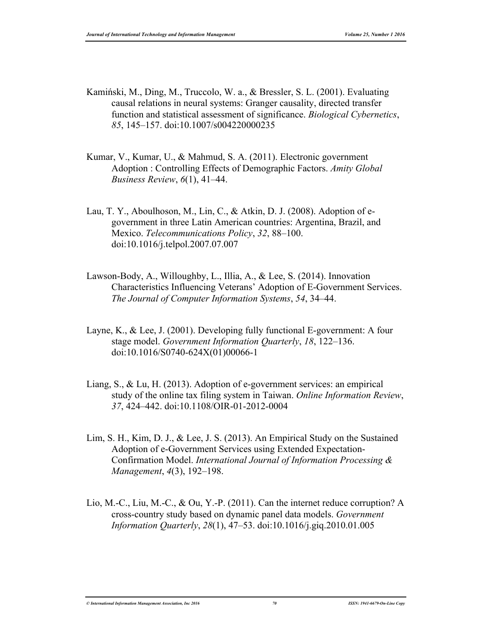- Kamiński, M., Ding, M., Truccolo, W. a., & Bressler, S. L. (2001). Evaluating causal relations in neural systems: Granger causality, directed transfer function and statistical assessment of significance. *Biological Cybernetics*, *85*, 145–157. doi:10.1007/s004220000235
- Kumar, V., Kumar, U., & Mahmud, S. A. (2011). Electronic government Adoption : Controlling Effects of Demographic Factors. *Amity Global Business Review*, *6*(1), 41–44.
- Lau, T. Y., Aboulhoson, M., Lin, C., & Atkin, D. J. (2008). Adoption of egovernment in three Latin American countries: Argentina, Brazil, and Mexico. *Telecommunications Policy*, *32*, 88–100. doi:10.1016/j.telpol.2007.07.007
- Lawson-Body, A., Willoughby, L., Illia, A., & Lee, S. (2014). Innovation Characteristics Influencing Veterans' Adoption of E-Government Services. *The Journal of Computer Information Systems*, *54*, 34–44.
- Layne, K., & Lee, J. (2001). Developing fully functional E-government: A four stage model. *Government Information Quarterly*, *18*, 122–136. doi:10.1016/S0740-624X(01)00066-1
- Liang, S., & Lu, H. (2013). Adoption of e-government services: an empirical study of the online tax filing system in Taiwan. *Online Information Review*, *37*, 424–442. doi:10.1108/OIR-01-2012-0004
- Lim, S. H., Kim, D. J., & Lee, J. S. (2013). An Empirical Study on the Sustained Adoption of e-Government Services using Extended Expectation-Confirmation Model. *International Journal of Information Processing & Management*, *4*(3), 192–198.
- Lio, M.-C., Liu, M.-C., & Ou, Y.-P. (2011). Can the internet reduce corruption? A cross-country study based on dynamic panel data models. *Government Information Quarterly*, *28*(1), 47–53. doi:10.1016/j.giq.2010.01.005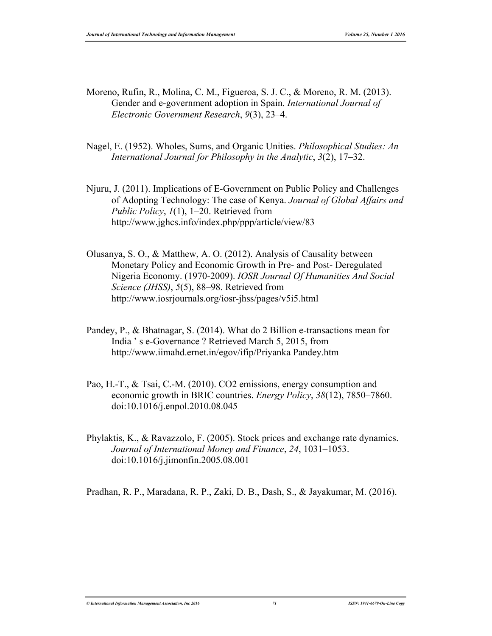Moreno, Rufin, R., Molina, C. M., Figueroa, S. J. C., & Moreno, R. M. (2013). Gender and e-government adoption in Spain. *International Journal of Electronic Government Research*, *9*(3), 23–4.

- Nagel, E. (1952). Wholes, Sums, and Organic Unities. *Philosophical Studies: An International Journal for Philosophy in the Analytic*, *3*(2), 17–32.
- Njuru, J. (2011). Implications of E-Government on Public Policy and Challenges of Adopting Technology: The case of Kenya. *Journal of Global Affairs and Public Policy*, *1*(1), 1–20. Retrieved from http://www.jghcs.info/index.php/ppp/article/view/83
- Olusanya, S. O., & Matthew, A. O. (2012). Analysis of Causality between Monetary Policy and Economic Growth in Pre- and Post- Deregulated Nigeria Economy. (1970-2009). *IOSR Journal Of Humanities And Social Science (JHSS)*, *5*(5), 88–98. Retrieved from http://www.iosrjournals.org/iosr-jhss/pages/v5i5.html
- Pandey, P., & Bhatnagar, S. (2014). What do 2 Billion e-transactions mean for India ' s e-Governance ? Retrieved March 5, 2015, from http://www.iimahd.ernet.in/egov/ifip/Priyanka Pandey.htm
- Pao, H.-T., & Tsai, C.-M. (2010). CO2 emissions, energy consumption and economic growth in BRIC countries. *Energy Policy*, *38*(12), 7850–7860. doi:10.1016/j.enpol.2010.08.045
- Phylaktis, K., & Ravazzolo, F. (2005). Stock prices and exchange rate dynamics. *Journal of International Money and Finance*, *24*, 1031–1053. doi:10.1016/j.jimonfin.2005.08.001

Pradhan, R. P., Maradana, R. P., Zaki, D. B., Dash, S., & Jayakumar, M. (2016).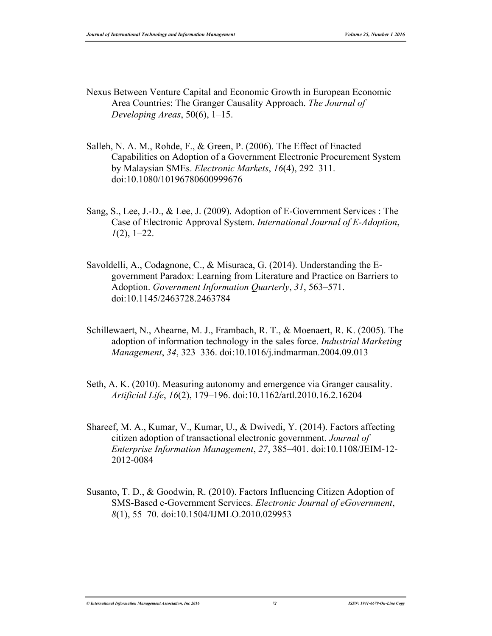- Nexus Between Venture Capital and Economic Growth in European Economic Area Countries: The Granger Causality Approach. *The Journal of Developing Areas*, 50(6), 1–15.
- Salleh, N. A. M., Rohde, F., & Green, P. (2006). The Effect of Enacted Capabilities on Adoption of a Government Electronic Procurement System by Malaysian SMEs. *Electronic Markets*, *16*(4), 292–311. doi:10.1080/10196780600999676
- Sang, S., Lee, J.-D., & Lee, J. (2009). Adoption of E-Government Services : The Case of Electronic Approval System. *International Journal of E-Adoption*, *1*(2), 1–22.
- Savoldelli, A., Codagnone, C., & Misuraca, G. (2014). Understanding the Egovernment Paradox: Learning from Literature and Practice on Barriers to Adoption. *Government Information Quarterly*, *31*, 563–571. doi:10.1145/2463728.2463784
- Schillewaert, N., Ahearne, M. J., Frambach, R. T., & Moenaert, R. K. (2005). The adoption of information technology in the sales force. *Industrial Marketing Management*, *34*, 323–336. doi:10.1016/j.indmarman.2004.09.013
- Seth, A. K. (2010). Measuring autonomy and emergence via Granger causality. *Artificial Life*, *16*(2), 179–196. doi:10.1162/artl.2010.16.2.16204
- Shareef, M. A., Kumar, V., Kumar, U., & Dwivedi, Y. (2014). Factors affecting citizen adoption of transactional electronic government. *Journal of Enterprise Information Management*, *27*, 385–401. doi:10.1108/JEIM-12- 2012-0084
- Susanto, T. D., & Goodwin, R. (2010). Factors Influencing Citizen Adoption of SMS-Based e-Government Services. *Electronic Journal of eGovernment*, *8*(1), 55–70. doi:10.1504/IJMLO.2010.029953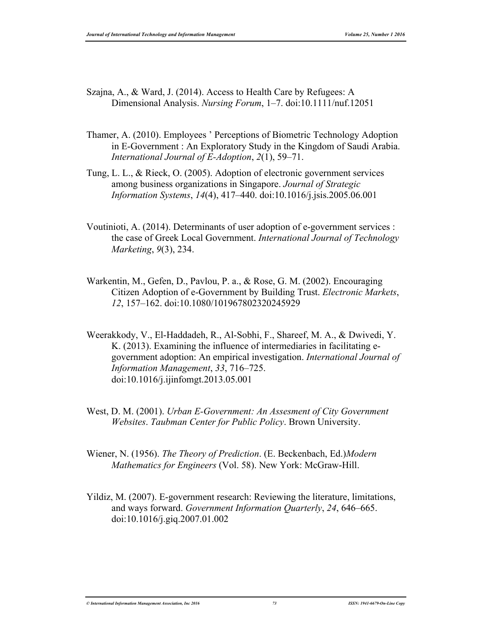- Szajna, A., & Ward, J. (2014). Access to Health Care by Refugees: A Dimensional Analysis. *Nursing Forum*, 1–7. doi:10.1111/nuf.12051
- Thamer, A. (2010). Employees ' Perceptions of Biometric Technology Adoption in E-Government : An Exploratory Study in the Kingdom of Saudi Arabia. *International Journal of E-Adoption*, *2*(1), 59–71.
- Tung, L. L., & Rieck, O. (2005). Adoption of electronic government services among business organizations in Singapore. *Journal of Strategic Information Systems*, *14*(4), 417–440. doi:10.1016/j.jsis.2005.06.001
- Voutinioti, A. (2014). Determinants of user adoption of e-government services : the case of Greek Local Government. *International Journal of Technology Marketing*, *9*(3), 234.
- Warkentin, M., Gefen, D., Pavlou, P. a., & Rose, G. M. (2002). Encouraging Citizen Adoption of e-Government by Building Trust. *Electronic Markets*, *12*, 157–162. doi:10.1080/101967802320245929
- Weerakkody, V., El-Haddadeh, R., Al-Sobhi, F., Shareef, M. A., & Dwivedi, Y. K. (2013). Examining the influence of intermediaries in facilitating egovernment adoption: An empirical investigation. *International Journal of Information Management*, *33*, 716–725. doi:10.1016/j.ijinfomgt.2013.05.001
- West, D. M. (2001). *Urban E-Government: An Assesment of City Government Websites*. *Taubman Center for Public Policy*. Brown University.
- Wiener, N. (1956). *The Theory of Prediction*. (E. Beckenbach, Ed.)*Modern Mathematics for Engineers* (Vol. 58). New York: McGraw-Hill.
- Yildiz, M. (2007). E-government research: Reviewing the literature, limitations, and ways forward. *Government Information Quarterly*, *24*, 646–665. doi:10.1016/j.giq.2007.01.002